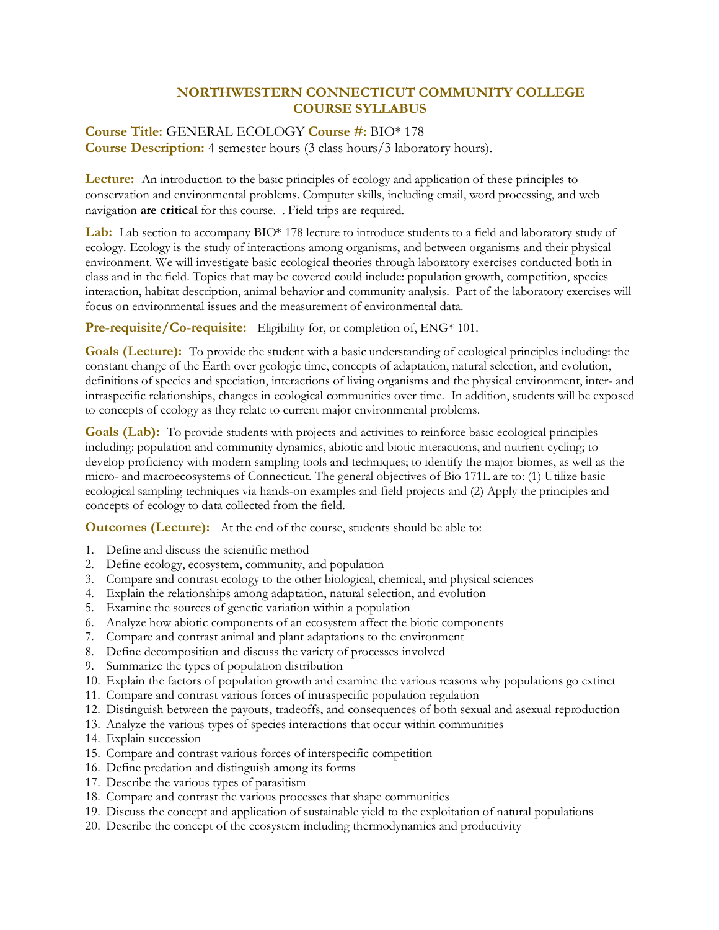## **NORTHWESTERN CONNECTICUT COMMUNITY COLLEGE COURSE SYLLABUS**

## **Course Title:** GENERAL ECOLOGY **Course #:** BIO\* 178 **Course Description:** 4 semester hours (3 class hours/3 laboratory hours).

**Lecture:** An introduction to the basic principles of ecology and application of these principles to conservation and environmental problems. Computer skills, including email, word processing, and web navigation **are critical** for this course. . Field trips are required.

**Lab:** Lab section to accompany BIO\* 178 lecture to introduce students to a field and laboratory study of ecology. Ecology is the study of interactions among organisms, and between organisms and their physical environment. We will investigate basic ecological theories through laboratory exercises conducted both in class and in the field. Topics that may be covered could include: population growth, competition, species interaction, habitat description, animal behavior and community analysis. Part of the laboratory exercises will focus on environmental issues and the measurement of environmental data.

Pre-requisite/Co-requisite: Eligibility for, or completion of, ENG\* 101.

**Goals (Lecture):** To provide the student with a basic understanding of ecological principles including: the constant change of the Earth over geologic time, concepts of adaptation, natural selection, and evolution, definitions of species and speciation, interactions of living organisms and the physical environment, inter- and intraspecific relationships, changes in ecological communities over time. In addition, students will be exposed to concepts of ecology as they relate to current major environmental problems.

Goals (Lab): To provide students with projects and activities to reinforce basic ecological principles including: population and community dynamics, abiotic and biotic interactions, and nutrient cycling; to develop proficiency with modern sampling tools and techniques; to identify the major biomes, as well as the micro- and macroecosystems of Connecticut. The general objectives of Bio 171L are to: (1) Utilize basic ecological sampling techniques via hands-on examples and field projects and (2) Apply the principles and concepts of ecology to data collected from the field.

**Outcomes (Lecture):** At the end of the course, students should be able to:

- 1. Define and discuss the scientific method
- 2. Define ecology, ecosystem, community, and population
- 3. Compare and contrast ecology to the other biological, chemical, and physical sciences
- 4. Explain the relationships among adaptation, natural selection, and evolution
- 5. Examine the sources of genetic variation within a population
- 6. Analyze how abiotic components of an ecosystem affect the biotic components
- 7. Compare and contrast animal and plant adaptations to the environment
- 8. Define decomposition and discuss the variety of processes involved
- 9. Summarize the types of population distribution
- 10. Explain the factors of population growth and examine the various reasons why populations go extinct
- 11. Compare and contrast various forces of intraspecific population regulation
- 12. Distinguish between the payouts, tradeoffs, and consequences of both sexual and asexual reproduction
- 13. Analyze the various types of species interactions that occur within communities
- 14. Explain succession
- 15. Compare and contrast various forces of interspecific competition
- 16. Define predation and distinguish among its forms
- 17. Describe the various types of parasitism
- 18. Compare and contrast the various processes that shape communities
- 19. Discuss the concept and application of sustainable yield to the exploitation of natural populations
- 20. Describe the concept of the ecosystem including thermodynamics and productivity